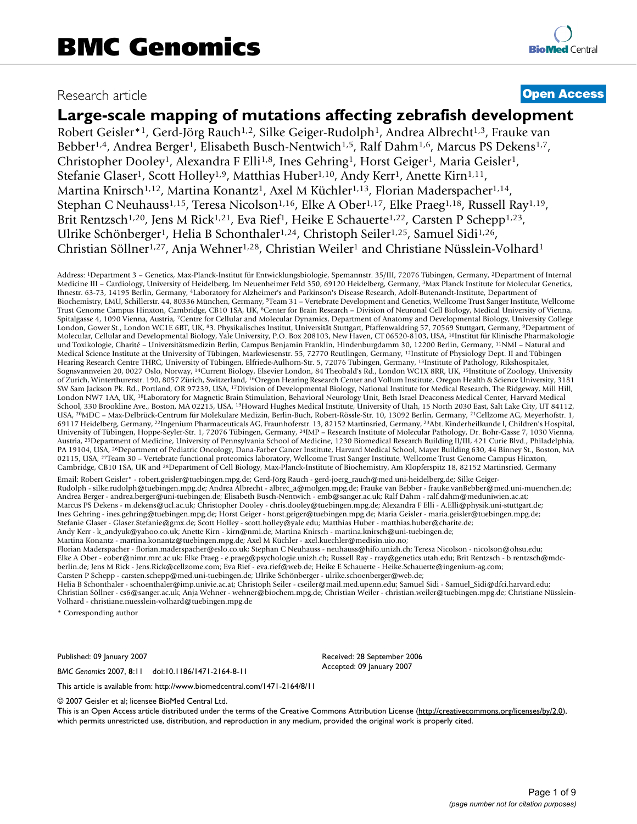# Research article **[Open Access](http://www.biomedcentral.com/info/about/charter/)**

# **Large-scale mapping of mutations affecting zebrafish development**

Robert Geisler<sup>\*1</sup>, Gerd-Jörg Rauch<sup>1,2</sup>, Silke Geiger-Rudolph<sup>1</sup>, Andrea Albrecht<sup>1,3</sup>, Frauke van Bebber<sup>1,4</sup>, Andrea Berger<sup>1</sup>, Elisabeth Busch-Nentwich<sup>1,5</sup>, Ralf Dahm<sup>1,6</sup>, Marcus PS Dekens<sup>1,7</sup>, Christopher Dooley<sup>1</sup>, Alexandra F Elli<sup>1,8</sup>, Ines Gehring<sup>1</sup>, Horst Geiger<sup>1</sup>, Maria Geisler<sup>1</sup>, Stefanie Glaser<sup>1</sup>, Scott Holley<sup>1,9</sup>, Matthias Huber<sup>1,10</sup>, Andy Kerr<sup>1</sup>, Anette Kirn<sup>1,11</sup>, Martina Knirsch<sup>1,12</sup>, Martina Konantz<sup>1</sup>, Axel M Küchler<sup>1,13</sup>, Florian Maderspacher<sup>1,14</sup>, Stephan C Neuhauss<sup>1,15</sup>, Teresa Nicolson<sup>1,16</sup>, Elke A Ober<sup>1,17</sup>, Elke Praeg<sup>1,18</sup>, Russell Ray<sup>1,19</sup>, Brit Rentzsch<sup>1,20</sup>, Jens M Rick<sup>1,21</sup>, Eva Rief<sup>1</sup>, Heike E Schauerte<sup>1,22</sup>, Carsten P Schepp<sup>1,23</sup>, Ulrike Schönberger1, Helia B Schonthaler1,24, Christoph Seiler1,25, Samuel Sidi1,26, Christian Söllner1,27, Anja Wehner1,28, Christian Weiler1 and Christiane Nüsslein-Volhard1

Address: 1Department 3 – Genetics, Max-Planck-Institut für Entwicklungsbiologie, Spemannstr. 35/III, 72076 Tübingen, Germany, 2Department of Internal Medicine III – Cardiology, University of Heidelberg, Im Neuenheimer Feld 350, 69120 Heidelberg, Germany, 3Max Planck Institute for Molecular Genetics, Ihnestr. 63-73, 14195 Berlin, Germany, 4Laboratory for Alzheimer's and Parkinson's Disease Research, Adolf-Butenandt-Institute, Department of Biochemistry, LMU, Schillerstr. 44, 80336 München, Germany, 5Team 31 – Vertebrate Development and Genetics, Wellcome Trust Sanger Institute, Wellcome Trust Genome Campus Hinxton, Cambridge, CB10 1SA, UK, 6Center for Brain Research – Division of Neuronal Cell Biology, Medical University of Vienna, Spitalgasse 4, 1090 Vienna, Austria, 7Centre for Cellular and Molecular Dynamics, Department of Anatomy and Developmental Biology, University College London, Gower St., London WC1E 6BT, UK, 83. Physikalisches Institut, Universität Stuttgart, Pfaffenwaldring 57, 70569 Stuttgart, Germany, 9Department of Molecular, Cellular and Developmental Biology, Yale University, P.O. Box 208103, New Haven, CT 06520-8103, USA, 10Institut für Klinische Pharmakologie und Toxikologie, Charité – Universitätsmedizin Berlin, Campus Benjamin Franklin, Hindenburgdamm 30, 12200 Berlin, Germany, 11NMI – Natural and Medical Science Institute at the University of Tübingen, Markwiesenstr. 55, 72770 Reutlingen, Germany, 12Institute of Physiology Dept. II and Tübingen Hearing Research Centre THRC, University of Tübingen, Elfriede-Aulhorn-Str. 5, 72076 Tübingen, Germany, 13Institute of Pathology, Rikshospitalet, Sognsvannveien 20, 0027 Oslo, Norway, 14Current Biology, Elsevier London, 84 Theobald's Rd., London WC1X 8RR, UK, 15Institute of Zoology, University of Zurich, Winterthurerstr. 190, 8057 Zürich, Switzerland, 16Oregon Hearing Research Center and Vollum Institute, Oregon Health & Science University, 3181 SW Sam Jackson Pk. Rd., Portland, OR 97239, USA, 17Division of Developmental Biology, National Institute for Medical Research, The Ridgeway, Mill Hill, London NW7 1AA, UK, 18Laboratory for Magnetic Brain Stimulation, Behavioral Neurology Unit, Beth Israel Deaconess Medical Center, Harvard Medical School, 330 Brookline Ave., Boston, MA 02215, USA, 19Howard Hughes Medical Institute, University of Utah, 15 North 2030 East, Salt Lake City, UT 84112, USA, 20MDC – Max-Delbrück-Centrum für Molekulare Medizin, Berlin-Buch, Robert-Rössle-Str. 10, 13092 Berlin, Germany, 21Cellzome AG, Meyerhofstr. 1, 69117 Heidelberg, Germany, 22Ingenium Pharmaceuticals AG, Fraunhoferstr. 13, 82152 Martinsried, Germany, 23Abt. Kinderheilkunde I, Children's Hospital, University of Tübingen, Hoppe-Seyler-Str. 1, 72076 Tübingen, Germany, 24IMP – Research Institute of Molecular Pathology, Dr. Bohr-Gasse 7, 1030 Vienna, Austria, <sup>25</sup>Department of Medicine, University of Pennsylvania School of Medicine, 1230 Biomedical Research Building II/III, 421 Curie Blvd., Philadelphia, PA 19104, USA, <sup>26</sup>Department of Pediatric Oncology, Dana-Farber Cancer Institute, Harvard Medical School, Mayer Building 630, 44 Binney St., Boston, MA 02115, USA, <sup>27</sup>Team 30 - Vertebrate functional proteomics laboratory, Wellcome Trust Sanger Institute, Wellcome Trust Genome Campus Hinxton, Cambridge, CB10 1SA, UK and 28Department of Cell Biology, Max-Planck-Institute of Biochemistry, Am Klopferspitz 18, 82152 Martinsried, Germany

Email: Robert Geisler\* - robert.geisler@tuebingen.mpg.de; Gerd-Jörg Rauch - gerd-joerg\_rauch@med.uni-heidelberg.de; Silke Geiger-Rudolph - silke.rudolph@tuebingen.mpg.de; Andrea Albrecht - albrec\_a@molgen.mpg.de; Frauke van Bebber - frauke.vanBebber@med.uni-muenchen.de; Andrea Berger - andrea.berger@uni-tuebingen.de; Elisabeth Busch-Nentwich - emb@sanger.ac.uk; Ralf Dahm - ralf.dahm@meduniwien.ac.at; Marcus PS Dekens - m.dekens@ucl.ac.uk; Christopher Dooley - chris.dooley@tuebingen.mpg.de; Alexandra F Elli - A.Elli@physik.uni-stuttgart.de; Ines Gehring - ines.gehring@tuebingen.mpg.de; Horst Geiger - horst.geiger@tuebingen.mpg.de; Maria Geisler - maria.geisler@tuebingen.mpg.de; Stefanie Glaser - Glaser.Stefanie@gmx.de; Scott Holley - scott.holley@yale.edu; Matthias Huber - matthias.huber@charite.de; Andy Kerr - k\_andyuk@yahoo.co.uk; Anette Kirn - kirn@nmi.de; Martina Knirsch - martina.knirsch@uni-tuebingen.de; Martina Konantz - martina.konantz@tuebingen.mpg.de; Axel M Küchler - axel.kuechler@medisin.uio.no; Florian Maderspacher - florian.maderspacher@eslo.co.uk; Stephan C Neuhauss - neuhauss@hifo.unizh.ch; Teresa Nicolson - nicolson@ohsu.edu; Elke A Ober - eober@nimr.mrc.ac.uk; Elke Praeg - e.praeg@psychologie.unizh.ch; Russell Ray - rray@genetics.utah.edu; Brit Rentzsch - b.rentzsch@mdcberlin.de; Jens M Rick - Jens.Rick@cellzome.com; Eva Rief - eva.rief@web.de; Heike E Schauerte - Heike.Schauerte@ingenium-ag.com; Carsten P Schepp - carsten.schepp@med.uni-tuebingen.de; Ulrike Schönberger - ulrike.schoenberger@web.de; Helia B Schonthaler - schoenthaler@imp.univie.ac.at; Christoph Seiler - cseiler@mail.med.upenn.edu; Samuel Sidi - Samuel\_Sidi@dfci.harvard.edu; Christian Söllner - cs6@sanger.ac.uk; Anja Wehner - wehner@biochem.mpg.de; Christian Weiler - christian.weiler@tuebingen.mpg.de; Christiane Nüsslein-

Volhard - christiane.nuesslein-volhard@tuebingen.mpg.de

\* Corresponding author

Published: 09 January 2007

*BMC Genomics* 2007, **8**:11 doi:10.1186/1471-2164-8-11

Received: 28 September 2006 Accepted: 09 January 2007

[This article is available from: http://www.biomedcentral.com/1471-2164/8/11](http://www.biomedcentral.com/1471-2164/8/11)

© 2007 Geisler et al; licensee BioMed Central Ltd.

This is an Open Access article distributed under the terms of the Creative Commons Attribution License [\(http://creativecommons.org/licenses/by/2.0\)](http://creativecommons.org/licenses/by/2.0), which permits unrestricted use, distribution, and reproduction in any medium, provided the original work is properly cited.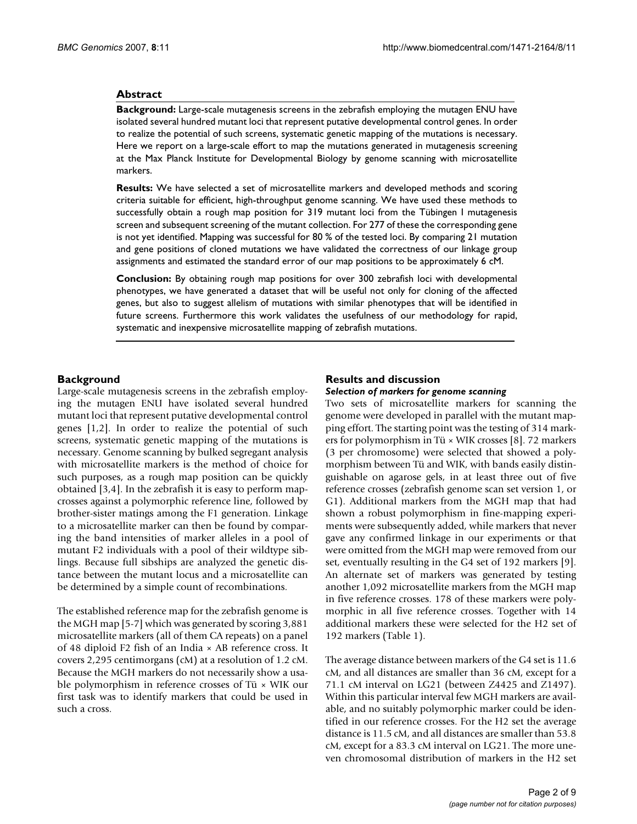#### **Abstract**

**Background:** Large-scale mutagenesis screens in the zebrafish employing the mutagen ENU have isolated several hundred mutant loci that represent putative developmental control genes. In order to realize the potential of such screens, systematic genetic mapping of the mutations is necessary. Here we report on a large-scale effort to map the mutations generated in mutagenesis screening at the Max Planck Institute for Developmental Biology by genome scanning with microsatellite markers.

**Results:** We have selected a set of microsatellite markers and developed methods and scoring criteria suitable for efficient, high-throughput genome scanning. We have used these methods to successfully obtain a rough map position for 319 mutant loci from the Tübingen I mutagenesis screen and subsequent screening of the mutant collection. For 277 of these the corresponding gene is not yet identified. Mapping was successful for 80 % of the tested loci. By comparing 21 mutation and gene positions of cloned mutations we have validated the correctness of our linkage group assignments and estimated the standard error of our map positions to be approximately 6 cM.

**Conclusion:** By obtaining rough map positions for over 300 zebrafish loci with developmental phenotypes, we have generated a dataset that will be useful not only for cloning of the affected genes, but also to suggest allelism of mutations with similar phenotypes that will be identified in future screens. Furthermore this work validates the usefulness of our methodology for rapid, systematic and inexpensive microsatellite mapping of zebrafish mutations.

#### **Background**

Large-scale mutagenesis screens in the zebrafish employing the mutagen ENU have isolated several hundred mutant loci that represent putative developmental control genes [1,2]. In order to realize the potential of such screens, systematic genetic mapping of the mutations is necessary. Genome scanning by bulked segregant analysis with microsatellite markers is the method of choice for such purposes, as a rough map position can be quickly obtained [3,4]. In the zebrafish it is easy to perform mapcrosses against a polymorphic reference line, followed by brother-sister matings among the F1 generation. Linkage to a microsatellite marker can then be found by comparing the band intensities of marker alleles in a pool of mutant F2 individuals with a pool of their wildtype siblings. Because full sibships are analyzed the genetic distance between the mutant locus and a microsatellite can be determined by a simple count of recombinations.

The established reference map for the zebrafish genome is the MGH map [5-7] which was generated by scoring 3,881 microsatellite markers (all of them CA repeats) on a panel of 48 diploid F2 fish of an India × AB reference cross. It covers 2,295 centimorgans (cM) at a resolution of 1.2 cM. Because the MGH markers do not necessarily show a usable polymorphism in reference crosses of Tü × WIK our first task was to identify markers that could be used in such a cross.

#### **Results and discussion** *Selection of markers for genome scanning*

Two sets of microsatellite markers for scanning the genome were developed in parallel with the mutant mapping effort. The starting point was the testing of 314 markers for polymorphism in Tü × WIK crosses [8]. 72 markers (3 per chromosome) were selected that showed a polymorphism between Tü and WIK, with bands easily distinguishable on agarose gels, in at least three out of five reference crosses (zebrafish genome scan set version 1, or G1). Additional markers from the MGH map that had shown a robust polymorphism in fine-mapping experiments were subsequently added, while markers that never gave any confirmed linkage in our experiments or that were omitted from the MGH map were removed from our set, eventually resulting in the G4 set of 192 markers [9]. An alternate set of markers was generated by testing another 1,092 microsatellite markers from the MGH map in five reference crosses. 178 of these markers were polymorphic in all five reference crosses. Together with 14 additional markers these were selected for the H2 set of 192 markers (Table 1).

The average distance between markers of the G4 set is 11.6 cM, and all distances are smaller than 36 cM, except for a 71.1 cM interval on LG21 (between Z4425 and Z1497). Within this particular interval few MGH markers are available, and no suitably polymorphic marker could be identified in our reference crosses. For the H2 set the average distance is 11.5 cM, and all distances are smaller than 53.8 cM, except for a 83.3 cM interval on LG21. The more uneven chromosomal distribution of markers in the H2 set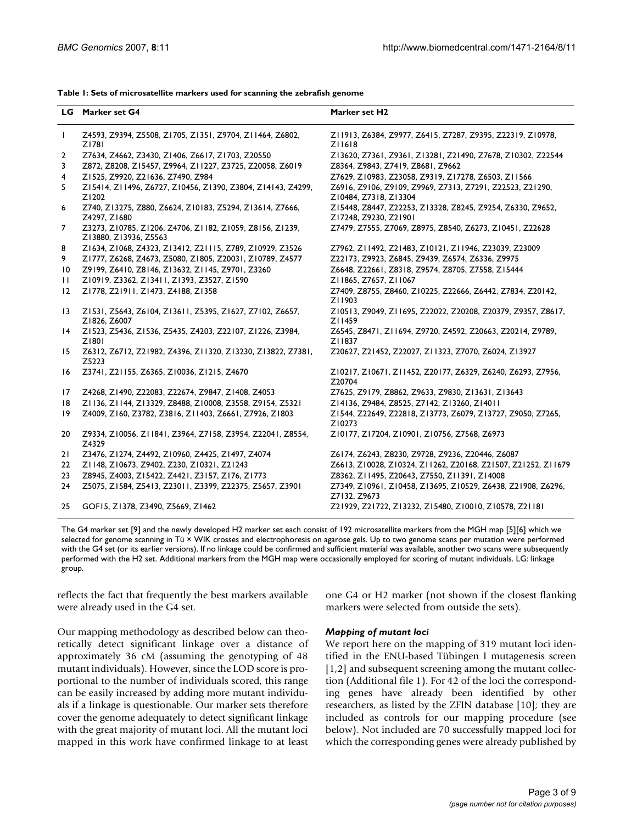| Table 1: Sets of microsatellite markers used for scanning the zebrafish genome |  |
|--------------------------------------------------------------------------------|--|
|--------------------------------------------------------------------------------|--|

|                 | LG Marker set G4                                                                  | Marker set H2                                                                       |  |  |  |
|-----------------|-----------------------------------------------------------------------------------|-------------------------------------------------------------------------------------|--|--|--|
|                 | Z4593, Z9394, Z5508, Z1705, Z1351, Z9704, Z11464, Z6802,<br>Z1781                 | Z11913, Z6384, Z9977, Z6415, Z7287, Z9395, Z22319, Z10978,<br>ZI 1618               |  |  |  |
| 2               | Z7634, Z4662, Z3430, Z1406, Z6617, Z1703, Z20550                                  | Z13620, Z7361, Z9361, Z13281, Z21490, Z7678, Z10302, Z22544                         |  |  |  |
| 3               | Z872, Z8208, Z15457, Z9964, Z11227, Z3725, Z20058, Z6019                          | Z8364, Z9843, Z7419, Z8681, Z9662                                                   |  |  |  |
| 4               | Z1525, Z9920, Z21636, Z7490, Z984                                                 | Z7629, Z10983, Z23058, Z9319, Z17278, Z6503, Z11566                                 |  |  |  |
| 5               | Z15414, Z11496, Z6727, Z10456, Z1390, Z3804, Z14143, Z4299,<br>Z <sub>1202</sub>  | Z6916, Z9106, Z9109, Z9969, Z7313, Z7291, Z22523, Z21290,<br>Z10484, Z7318, Z13304  |  |  |  |
| 6               | Z740, Z13275, Z880, Z6624, Z10183, Z5294, Z13614, Z7666,<br>Z4297, Z1680          | Z15448, Z8447, Z22253, Z13328, Z8245, Z9254, Z6330, Z9652,<br>Z17248, Z9230, Z21901 |  |  |  |
| 7               | Z3273, Z10785, Z1206, Z4706, Z1182, Z1059, Z8156, Z1239,<br>Z13880, Z13936, Z5563 | Z7479, Z7555, Z7069, Z8975, Z8540, Z6273, Z10451, Z22628                            |  |  |  |
| 8               | Z1634, Z1068, Z4323, Z13412, Z21115, Z789, Z10929, Z3526                          | Z7962, Z11492, Z21483, Z10121, Z11946, Z23039, Z23009                               |  |  |  |
| 9.              | Z1777, Z6268, Z4673, Z5080, Z1805, Z20031, Z10789, Z4577                          | Z22173, Z9923, Z6845, Z9439, Z6574, Z6336, Z9975                                    |  |  |  |
| $\overline{10}$ | Z9199, Z6410, Z8146, Z13632, Z1145, Z9701, Z3260                                  | Z6648, Z22661, Z8318, Z9574, Z8705, Z7558, Z15444                                   |  |  |  |
| $\mathbf{H}$    | Z10919, Z3362, Z13411, Z1393, Z3527, Z1590                                        | ZI 1865, Z7657, ZI 1067                                                             |  |  |  |
| 12              | Z1778, Z21911, Z1473, Z4188, Z1358                                                | Z7409, Z8755, Z8460, Z10225, Z22666, Z6442, Z7834, Z20142,<br>Z11903                |  |  |  |
| $\overline{13}$ | Z1531, Z5643, Z6104, Z13611, Z5395, Z1627, Z7102, Z6657,<br>Z1826, Z6007          | Z10513, Z9049, Z11695, Z22022, Z20208, Z20379, Z9357, Z8617,<br>Z11459              |  |  |  |
| $\overline{14}$ | Z1523, Z5436, Z1536, Z5435, Z4203, Z22107, Z1226, Z3984,<br>Z1801                 | Z6545, Z8471, Z11694, Z9720, Z4592, Z20663, Z20214, Z9789,<br>Z11837                |  |  |  |
| 15              | Z6312, Z6712, Z21982, Z4396, Z11320, Z13230, Z13822, Z7381,<br>Z5223              | Z20627, Z21452, Z22027, Z11323, Z7070, Z6024, Z13927                                |  |  |  |
| 16              | Z3741, Z21155, Z6365, Z10036, Z1215, Z4670                                        | Z10217, Z10671, Z11452, Z20177, Z6329, Z6240, Z6293, Z7956,<br>Z20704               |  |  |  |
| 17              | Z4268, Z1490, Z22083, Z22674, Z9847, Z1408, Z4053                                 | Z7625, Z9179, Z8862, Z9633, Z9830, Z13631, Z13643                                   |  |  |  |
| 8               | Z1136, Z1144, Z13329, Z8488, Z10008, Z3558, Z9154, Z5321                          | Z14136, Z9484, Z8525, Z7142, Z13260, Z14011                                         |  |  |  |
| $ 9\rangle$     | Z4009, Z160, Z3782, Z3816, Z11403, Z6661, Z7926, Z1803                            | Z1544, Z22649, Z22818, Z13773, Z6079, Z13727, Z9050, Z7265,<br>Z10273               |  |  |  |
| 20              | Z9334, Z10056, Z11841, Z3964, Z7158, Z3954, Z22041, Z8554,<br>Z4329               | Z10177, Z17204, Z10901, Z10756, Z7568, Z6973                                        |  |  |  |
| 21              | Z3476, Z1274, Z4492, Z10960, Z4425, Z1497, Z4074                                  | Z6174, Z6243, Z8230, Z9728, Z9236, Z20446, Z6087                                    |  |  |  |
| 22              | Z1148, Z10673, Z9402, Z230, Z10321, Z21243                                        | Z6613, Z10028, Z10324, Z11262, Z20168, Z21507, Z21252, Z11679                       |  |  |  |
| 23              | Z8945, Z4003, Z15422, Z4421, Z3157, Z176, Z1773                                   | Z8362, Z11495, Z20643, Z7550, Z11391, Z14008                                        |  |  |  |
| 24              | Z5075, Z1584, Z5413, Z23011, Z3399, Z22375, Z5657, Z3901                          | Z7349, Z10961, Z10458, Z13695, Z10529, Z6438, Z21908, Z6296,<br>Z7132, Z9673        |  |  |  |
| 25              | GOF15, Z1378, Z3490, Z5669, Z1462                                                 | Z21929, Z21722, Z13232, Z15480, Z10010, Z10578, Z21181                              |  |  |  |

The G4 marker set [9] and the newly developed H2 marker set each consist of 192 microsatellite markers from the MGH map [5][6] which we selected for genome scanning in Tü × WIK crosses and electrophoresis on agarose gels. Up to two genome scans per mutation were performed with the G4 set (or its earlier versions). If no linkage could be confirmed and sufficient material was available, another two scans were subsequently performed with the H2 set. Additional markers from the MGH map were occasionally employed for scoring of mutant individuals. LG: linkage group.

reflects the fact that frequently the best markers available were already used in the G4 set.

one G4 or H2 marker (not shown if the closest flanking markers were selected from outside the sets).

Our mapping methodology as described below can theoretically detect significant linkage over a distance of approximately 36 cM (assuming the genotyping of 48 mutant individuals). However, since the LOD score is proportional to the number of individuals scored, this range can be easily increased by adding more mutant individuals if a linkage is questionable. Our marker sets therefore cover the genome adequately to detect significant linkage with the great majority of mutant loci. All the mutant loci mapped in this work have confirmed linkage to at least

#### *Mapping of mutant loci*

We report here on the mapping of 319 mutant loci identified in the ENU-based Tübingen I mutagenesis screen [1,2] and subsequent screening among the mutant collection (Additional file 1). For 42 of the loci the corresponding genes have already been identified by other researchers, as listed by the ZFIN database [10]; they are included as controls for our mapping procedure (see below). Not included are 70 successfully mapped loci for which the corresponding genes were already published by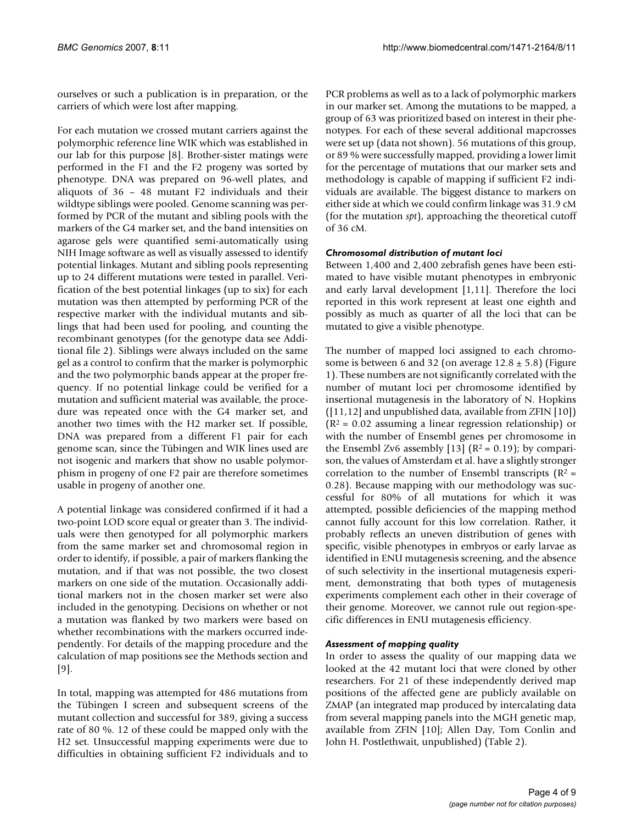ourselves or such a publication is in preparation, or the carriers of which were lost after mapping.

For each mutation we crossed mutant carriers against the polymorphic reference line WIK which was established in our lab for this purpose [8]. Brother-sister matings were performed in the F1 and the F2 progeny was sorted by phenotype. DNA was prepared on 96-well plates, and aliquots of 36 – 48 mutant F2 individuals and their wildtype siblings were pooled. Genome scanning was performed by PCR of the mutant and sibling pools with the markers of the G4 marker set, and the band intensities on agarose gels were quantified semi-automatically using NIH Image software as well as visually assessed to identify potential linkages. Mutant and sibling pools representing up to 24 different mutations were tested in parallel. Verification of the best potential linkages (up to six) for each mutation was then attempted by performing PCR of the respective marker with the individual mutants and siblings that had been used for pooling, and counting the recombinant genotypes (for the genotype data see Additional file 2). Siblings were always included on the same gel as a control to confirm that the marker is polymorphic and the two polymorphic bands appear at the proper frequency. If no potential linkage could be verified for a mutation and sufficient material was available, the procedure was repeated once with the G4 marker set, and another two times with the H2 marker set. If possible, DNA was prepared from a different F1 pair for each genome scan, since the Tübingen and WIK lines used are not isogenic and markers that show no usable polymorphism in progeny of one F2 pair are therefore sometimes usable in progeny of another one.

A potential linkage was considered confirmed if it had a two-point LOD score equal or greater than 3. The individuals were then genotyped for all polymorphic markers from the same marker set and chromosomal region in order to identify, if possible, a pair of markers flanking the mutation, and if that was not possible, the two closest markers on one side of the mutation. Occasionally additional markers not in the chosen marker set were also included in the genotyping. Decisions on whether or not a mutation was flanked by two markers were based on whether recombinations with the markers occurred independently. For details of the mapping procedure and the calculation of map positions see the Methods section and [9].

In total, mapping was attempted for 486 mutations from the Tübingen I screen and subsequent screens of the mutant collection and successful for 389, giving a success rate of 80 %. 12 of these could be mapped only with the H2 set. Unsuccessful mapping experiments were due to difficulties in obtaining sufficient F2 individuals and to

PCR problems as well as to a lack of polymorphic markers in our marker set. Among the mutations to be mapped, a group of 63 was prioritized based on interest in their phenotypes. For each of these several additional mapcrosses were set up (data not shown). 56 mutations of this group, or 89 % were successfully mapped, providing a lower limit for the percentage of mutations that our marker sets and methodology is capable of mapping if sufficient F2 individuals are available. The biggest distance to markers on either side at which we could confirm linkage was 31.9 cM (for the mutation *spt*), approaching the theoretical cutoff of 36 cM.

# *Chromosomal distribution of mutant loci*

Between 1,400 and 2,400 zebrafish genes have been estimated to have visible mutant phenotypes in embryonic and early larval development [1,11]. Therefore the loci reported in this work represent at least one eighth and possibly as much as quarter of all the loci that can be mutated to give a visible phenotype.

The number of mapped loci assigned to each chromosome is between 6 and 32 (on average  $12.8 \pm 5.8$ ) (Figure 1). These numbers are not significantly correlated with the number of mutant loci per chromosome identified by insertional mutagenesis in the laboratory of N. Hopkins ([11,12] and unpublished data, available from ZFIN [10])  $(R<sup>2</sup> = 0.02$  assuming a linear regression relationship) or with the number of Ensembl genes per chromosome in the Ensembl Zv6 assembly [13]  $(R^2 = 0.19)$ ; by comparison, the values of Amsterdam et al. have a slightly stronger correlation to the number of Ensembl transcripts  $(R^2 =$ 0.28). Because mapping with our methodology was successful for 80% of all mutations for which it was attempted, possible deficiencies of the mapping method cannot fully account for this low correlation. Rather, it probably reflects an uneven distribution of genes with specific, visible phenotypes in embryos or early larvae as identified in ENU mutagenesis screening, and the absence of such selectivity in the insertional mutagenesis experiment, demonstrating that both types of mutagenesis experiments complement each other in their coverage of their genome. Moreover, we cannot rule out region-specific differences in ENU mutagenesis efficiency.

# *Assessment of mapping quality*

In order to assess the quality of our mapping data we looked at the 42 mutant loci that were cloned by other researchers. For 21 of these independently derived map positions of the affected gene are publicly available on ZMAP (an integrated map produced by intercalating data from several mapping panels into the MGH genetic map, available from ZFIN [10]; Allen Day, Tom Conlin and John H. Postlethwait, unpublished) (Table 2).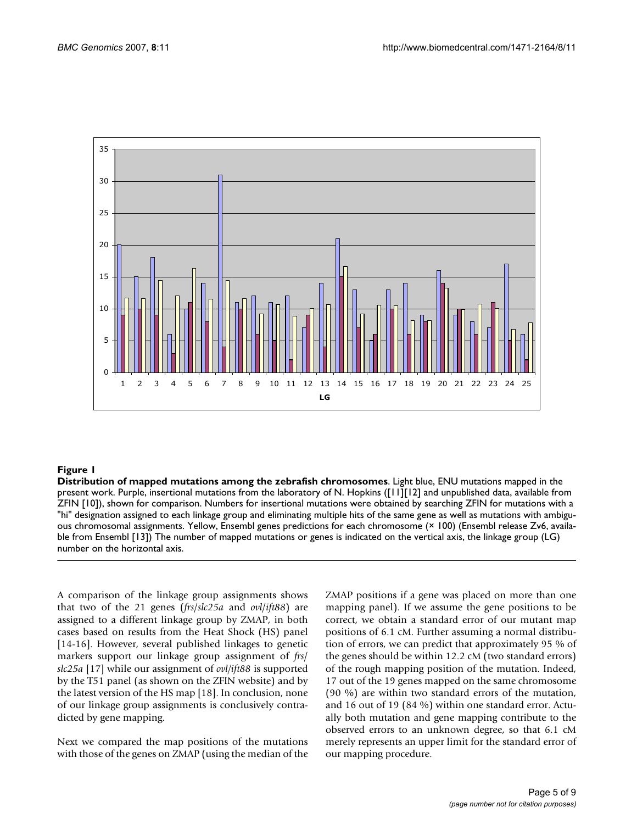

# Figure 1

**Distribution of mapped mutations among the zebrafish chromosomes**. Light blue, ENU mutations mapped in the present work. Purple, insertional mutations from the laboratory of N. Hopkins ([11][12] and unpublished data, available from ZFIN [10]), shown for comparison. Numbers for insertional mutations were obtained by searching ZFIN for mutations with a "hi" designation assigned to each linkage group and eliminating multiple hits of the same gene as well as mutations with ambiguous chromosomal assignments. Yellow, Ensembl genes predictions for each chromosome (× 100) (Ensembl release Zv6, available from Ensembl [13]) The number of mapped mutations or genes is indicated on the vertical axis, the linkage group (LG) number on the horizontal axis.

A comparison of the linkage group assignments shows that two of the 21 genes (*frs*/*slc25a* and *ovl*/*ift88*) are assigned to a different linkage group by ZMAP, in both cases based on results from the Heat Shock (HS) panel [14-16]. However, several published linkages to genetic markers support our linkage group assignment of *frs*/ *slc25a* [17] while our assignment of *ovl/ift88* is supported by the T51 panel (as shown on the ZFIN website) and by the latest version of the HS map [18]. In conclusion, none of our linkage group assignments is conclusively contradicted by gene mapping.

Next we compared the map positions of the mutations with those of the genes on ZMAP (using the median of the ZMAP positions if a gene was placed on more than one mapping panel). If we assume the gene positions to be correct, we obtain a standard error of our mutant map positions of 6.1 cM. Further assuming a normal distribution of errors, we can predict that approximately 95 % of the genes should be within 12.2 cM (two standard errors) of the rough mapping position of the mutation. Indeed, 17 out of the 19 genes mapped on the same chromosome (90 %) are within two standard errors of the mutation, and 16 out of 19 (84 %) within one standard error. Actually both mutation and gene mapping contribute to the observed errors to an unknown degree, so that 6.1 cM merely represents an upper limit for the standard error of our mapping procedure.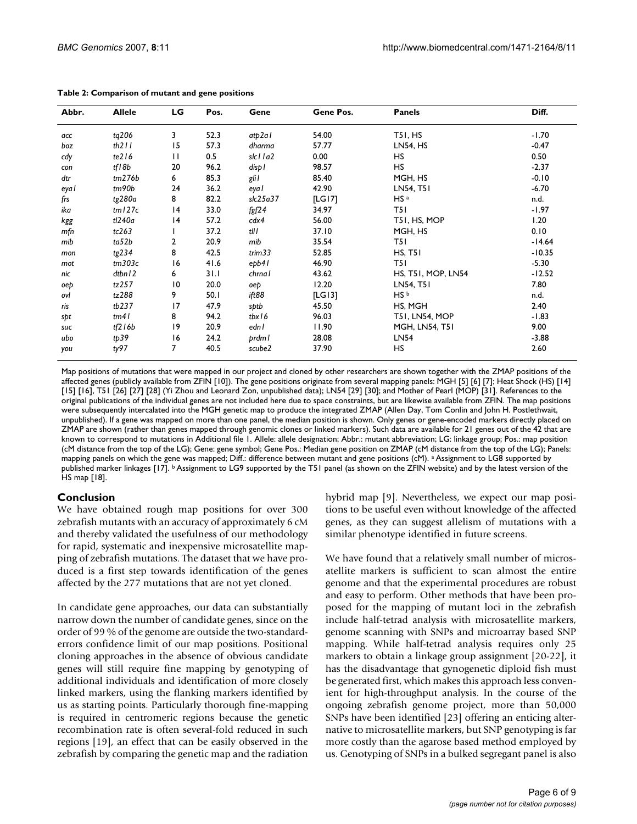| Abbr. | <b>Allele</b> | LG              | Pos. | Gene                       | Gene Pos. | <b>Panels</b>         | Diff.    |
|-------|---------------|-----------------|------|----------------------------|-----------|-----------------------|----------|
| acc   | tg206         | 3               | 52.3 | atp2al                     | 54.00     | T51, HS               | $-1.70$  |
| boz   | th $211$      | 15              | 57.3 | dharma                     | 57.77     | <b>LN54, HS</b>       | $-0.47$  |
| cdy   | te216         | $\mathbf{H}$    | 0.5  | slc11a2                    | 0.00      | HS                    | 0.50     |
| con   | tf18b         | 20              | 96.2 | disp I                     | 98.57     | HS                    | $-2.37$  |
| dtr   | tm276b        | 6               | 85.3 | gli I                      | 85.40     | MGH, HS               | $-0.10$  |
| eya l | tm90b         | 24              | 36.2 | eya l                      | 42.90     | LN54, T51             | $-6.70$  |
| frs   | tg280a        | 8               | 82.2 | slc25a37                   | [LG17]    | $HS$ <sup>a</sup>     | n.d.     |
| ika   | tml27c        | 4               | 33.0 | $f$ gf $24$                | 34.97     | T5I.                  | -1.97    |
| kgg   | tl240a        | 4               | 57.2 | cdx4                       | 56.00     | T51, HS, MOP          | 1.20     |
| mfn   | tc263         |                 | 37.2 | tll I                      | 37.10     | MGH, HS               | 0.10     |
| mib   | ta52b         | 2               | 20.9 | mib                        | 35.54     | T5 I                  | $-14.64$ |
| mon   | tg234         | 8               | 42.5 | trim33                     | 52.85     | <b>HS, T51</b>        | $-10.35$ |
| mot   | tm303c        | 16              | 41.6 | $e$ <sub>p</sub> $b$ 4 $l$ | 46.90     | T5 I                  | $-5.30$  |
| nic   | dtbn12        | 6               | 31.1 | chrna l                    | 43.62     | HS, T51, MOP, LN54    | $-12.52$ |
| oep   | tz257         | $\overline{10}$ | 20.0 | oep                        | 12.20     | LN54, T51             | 7.80     |
| ovl   | tz288         | 9               | 50.I | ift88                      | [LG13]    | HS b                  | n.d.     |
| ris   | tb237         | 17              | 47.9 | sptb                       | 45.50     | HS, MGH               | 2.40     |
| sþt   | tm41          | 8               | 94.2 | tbx16                      | 96.03     | <b>T51, LN54, MOP</b> | $-1.83$  |
| suc   | tf216b        | 19              | 20.9 | edn l                      | 11.90     | <b>MGH, LN54, T51</b> | 9.00     |
| ubo   | tp39          | 16              | 24.2 | prdml                      | 28.08     | LN54                  | $-3.88$  |
| you   | ty97          | 7               | 40.5 | scube2                     | 37.90     | <b>HS</b>             | 2.60     |

**Table 2: Comparison of mutant and gene positions**

Map positions of mutations that were mapped in our project and cloned by other researchers are shown together with the ZMAP positions of the affected genes (publicly available from ZFIN [10]). The gene positions originate from several mapping panels: MGH [5] [6] [7]; Heat Shock (HS) [14] [15] [16], T51 [26] [27] [28] (Yi Zhou and Leonard Zon, unpublished data); LN54 [29] [30]; and Mother of Pearl (MOP) [31]. References to the original publications of the individual genes are not included here due to space constraints, but are likewise available from ZFIN. The map positions were subsequently intercalated into the MGH genetic map to produce the integrated ZMAP (Allen Day, Tom Conlin and John H. Postlethwait, unpublished). If a gene was mapped on more than one panel, the median position is shown. Only genes or gene-encoded markers directly placed on ZMAP are shown (rather than genes mapped through genomic clones or linked markers). Such data are available for 21 genes out of the 42 that are known to correspond to mutations in Additional file 1. Allele: allele designation; Abbr.: mutant abbreviation; LG: linkage group; Pos.: map position (cM distance from the top of the LG); Gene: gene symbol; Gene Pos.: Median gene position on ZMAP (cM distance from the top of the LG); Panels: mapping panels on which the gene was mapped; Diff.: difference between mutant and gene positions (cM). a Assignment to LG8 supported by published marker linkages [17]. **b** Assignment to LG9 supported by the T51 panel (as shown on the ZFIN website) and by the latest version of the HS map [18].

# **Conclusion**

We have obtained rough map positions for over 300 zebrafish mutants with an accuracy of approximately 6 cM and thereby validated the usefulness of our methodology for rapid, systematic and inexpensive microsatellite mapping of zebrafish mutations. The dataset that we have produced is a first step towards identification of the genes affected by the 277 mutations that are not yet cloned.

In candidate gene approaches, our data can substantially narrow down the number of candidate genes, since on the order of 99 % of the genome are outside the two-standarderrors confidence limit of our map positions. Positional cloning approaches in the absence of obvious candidate genes will still require fine mapping by genotyping of additional individuals and identification of more closely linked markers, using the flanking markers identified by us as starting points. Particularly thorough fine-mapping is required in centromeric regions because the genetic recombination rate is often several-fold reduced in such regions [19], an effect that can be easily observed in the zebrafish by comparing the genetic map and the radiation

hybrid map [9]. Nevertheless, we expect our map positions to be useful even without knowledge of the affected genes, as they can suggest allelism of mutations with a similar phenotype identified in future screens.

We have found that a relatively small number of microsatellite markers is sufficient to scan almost the entire genome and that the experimental procedures are robust and easy to perform. Other methods that have been proposed for the mapping of mutant loci in the zebrafish include half-tetrad analysis with microsatellite markers, genome scanning with SNPs and microarray based SNP mapping. While half-tetrad analysis requires only 25 markers to obtain a linkage group assignment [20-22], it has the disadvantage that gynogenetic diploid fish must be generated first, which makes this approach less convenient for high-throughput analysis. In the course of the ongoing zebrafish genome project, more than 50,000 SNPs have been identified [23] offering an enticing alternative to microsatellite markers, but SNP genotyping is far more costly than the agarose based method employed by us. Genotyping of SNPs in a bulked segregant panel is also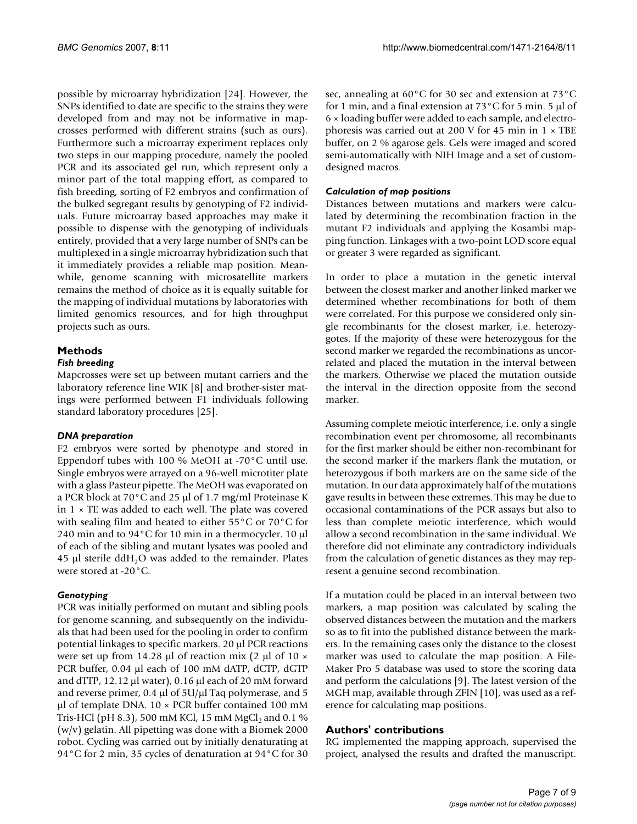possible by microarray hybridization [24]. However, the SNPs identified to date are specific to the strains they were developed from and may not be informative in mapcrosses performed with different strains (such as ours). Furthermore such a microarray experiment replaces only two steps in our mapping procedure, namely the pooled PCR and its associated gel run, which represent only a minor part of the total mapping effort, as compared to fish breeding, sorting of F2 embryos and confirmation of the bulked segregant results by genotyping of F2 individuals. Future microarray based approaches may make it possible to dispense with the genotyping of individuals entirely, provided that a very large number of SNPs can be multiplexed in a single microarray hybridization such that it immediately provides a reliable map position. Meanwhile, genome scanning with microsatellite markers remains the method of choice as it is equally suitable for the mapping of individual mutations by laboratories with limited genomics resources, and for high throughput projects such as ours.

# **Methods**

# *Fish breeding*

Mapcrosses were set up between mutant carriers and the laboratory reference line WIK [8] and brother-sister matings were performed between F1 individuals following standard laboratory procedures [25].

# *DNA preparation*

F2 embryos were sorted by phenotype and stored in Eppendorf tubes with 100 % MeOH at -70°C until use. Single embryos were arrayed on a 96-well microtiter plate with a glass Pasteur pipette. The MeOH was evaporated on a PCR block at 70°C and 25 μl of 1.7 mg/ml Proteinase K in  $1 \times$  TE was added to each well. The plate was covered with sealing film and heated to either 55°C or 70°C for 240 min and to 94°C for 10 min in a thermocycler. 10 μl of each of the sibling and mutant lysates was pooled and  $45$  µl sterile ddH<sub>2</sub>O was added to the remainder. Plates were stored at -20°C.

# *Genotyping*

PCR was initially performed on mutant and sibling pools for genome scanning, and subsequently on the individuals that had been used for the pooling in order to confirm potential linkages to specific markers. 20 μl PCR reactions were set up from 14.28 μl of reaction mix (2 μl of 10  $\times$ PCR buffer, 0.04 μl each of 100 mM dATP, dCTP, dGTP and dTTP, 12.12 μl water), 0.16 μl each of 20 mM forward and reverse primer, 0.4 μl of 5U/μl Taq polymerase, and 5 μl of template DNA. 10 × PCR buffer contained 100 mM Tris-HCl (pH 8.3), 500 mM KCl, 15 mM MgCl<sub>2</sub> and 0.1 % (w/v) gelatin. All pipetting was done with a Biomek 2000 robot. Cycling was carried out by initially denaturating at 94°C for 2 min, 35 cycles of denaturation at 94°C for 30

sec, annealing at 60°C for 30 sec and extension at 73°C for 1 min, and a final extension at 73°C for 5 min. 5 μl of 6 × loading buffer were added to each sample, and electrophoresis was carried out at 200 V for 45 min in 1 × TBE buffer, on 2 % agarose gels. Gels were imaged and scored semi-automatically with NIH Image and a set of customdesigned macros.

# *Calculation of map positions*

Distances between mutations and markers were calculated by determining the recombination fraction in the mutant F2 individuals and applying the Kosambi mapping function. Linkages with a two-point LOD score equal or greater 3 were regarded as significant.

In order to place a mutation in the genetic interval between the closest marker and another linked marker we determined whether recombinations for both of them were correlated. For this purpose we considered only single recombinants for the closest marker, i.e. heterozygotes. If the majority of these were heterozygous for the second marker we regarded the recombinations as uncorrelated and placed the mutation in the interval between the markers. Otherwise we placed the mutation outside the interval in the direction opposite from the second marker.

Assuming complete meiotic interference, i.e. only a single recombination event per chromosome, all recombinants for the first marker should be either non-recombinant for the second marker if the markers flank the mutation, or heterozygous if both markers are on the same side of the mutation. In our data approximately half of the mutations gave results in between these extremes. This may be due to occasional contaminations of the PCR assays but also to less than complete meiotic interference, which would allow a second recombination in the same individual. We therefore did not eliminate any contradictory individuals from the calculation of genetic distances as they may represent a genuine second recombination.

If a mutation could be placed in an interval between two markers, a map position was calculated by scaling the observed distances between the mutation and the markers so as to fit into the published distance between the markers. In the remaining cases only the distance to the closest marker was used to calculate the map position. A File-Maker Pro 5 database was used to store the scoring data and perform the calculations [9]. The latest version of the MGH map, available through ZFIN [10], was used as a reference for calculating map positions.

# **Authors' contributions**

RG implemented the mapping approach, supervised the project, analysed the results and drafted the manuscript.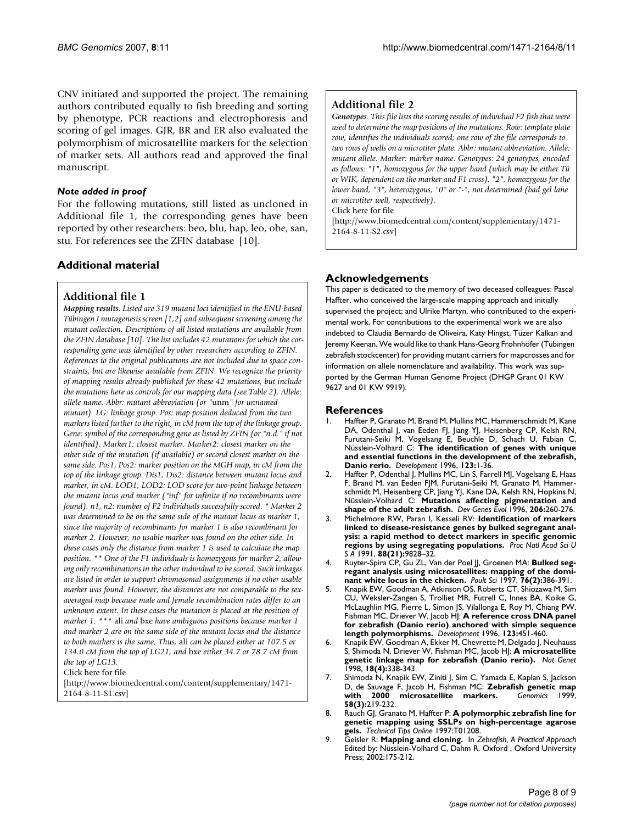CNV initiated and supported the project. The remaining authors contributed equally to fish breeding and sorting by phenotype, PCR reactions and electrophoresis and scoring of gel images. GJR, BR and ER also evaluated the polymorphism of microsatellite markers for the selection of marker sets. All authors read and approved the final manuscript.

#### *Note added in proof*

For the following mutations, still listed as uncloned in Additional file 1, the corresponding genes have been reported by other researchers: beo, blu, hap, leo, obe, san, stu. For references see the ZFIN database [10].

# **Additional material**

# **Additional file 1**

*Mapping results. Listed are 319 mutant loci identified in the ENU-based Tübingen I mutagenesis screen [1,2] and subsequent screening among the mutant collection. Descriptions of all listed mutations are available from the ZFIN database [10]. The list includes 42 mutations for which the corresponding gene was identified by other researchers according to ZFIN. References to the original publications are not included due to space constraints, but are likewise available from ZFIN. We recognize the priority of mapping results already published for these 42 mutations, but include the mutations here as controls for our mapping data (see Table 2). Allele: allele name. Abbr: mutant abbreviation (or "*unm*" for unnamed mutant). LG: linkage group. Pos: map position deduced from the two markers listed further to the right, in cM from the top of the linkage group. Gene: symbol of the corresponding gene as listed by ZFIN (or "n.d." if not identified). Marker1: closest marker. Marker2: closest marker on the other side of the mutation (if available) or second closest marker on the same side. Pos1, Pos2: marker position on the MGH map, in cM from the top of the linkage group. Dis1, Dis2: distance between mutant locus and marker, in cM. LOD1, LOD2: LOD score for two-point linkage between the mutant locus and marker ("inf" for infinite if no recombinants were found). n1, n2: number of F2 individuals successfully scored. \* Marker 2 was determined to be on the same side of the mutant locus as marker 1, since the majority of recombinants for marker 1 is also recombinant for marker 2. However, no usable marker was found on the other side. In these cases only the distance from marker 1 is used to calculate the map position. \*\* One of the F1 individuals is homozygous for marker 2, allowing only recombinations in the other individual to be scored. Such linkages are listed in order to support chromosomal assignments if no other usable marker was found. However, the distances are not comparable to the sexaveraged map because male and female recombination rates differ to an unknown extent. In these cases the mutation is placed at the position of marker 1. \*\*\** ali *and* bxe *have ambiguous positions because marker 1 and marker 2 are on the same side of the mutant locus and the distance to both markers is the same. Thus,* ali *can be placed either at 107.5 or 134.0 cM from the top of LG21, and* bxe *either 34.7 or 78.7 cM from the top of LG13.*

Click here for file

[\[http://www.biomedcentral.com/content/supplementary/1471-](http://www.biomedcentral.com/content/supplementary/1471-2164-8-11-S1.csv) 2164-8-11-S1.csv]

# **Additional file 2**

*Genotypes. This file lists the scoring results of individual F2 fish that were used to determine the map positions of the mutations. Row: template plate row, identifies the individuals scored; one row of the file corresponds to two rows of wells on a microtiter plate. Abbr: mutant abbreviation. Allele: mutant allele. Marker: marker name. Genotypes: 24 genotypes, encoded as follows: "1", homozygous for the upper band (which may be either Tü or WIK, dependent on the marker and F1 cross), "2", homozygous for the lower band, "3", heterozygous, "0" or "-", not determined (bad gel lane or microtiter well, respectively).*

Click here for file

[\[http://www.biomedcentral.com/content/supplementary/1471-](http://www.biomedcentral.com/content/supplementary/1471-2164-8-11-S2.csv) 2164-8-11-S2.csv]

# **Acknowledgements**

This paper is dedicated to the memory of two deceased colleagues: Pascal Haffter, who conceived the large-scale mapping approach and initially supervised the project; and Ulrike Martyn, who contributed to the experimental work. For contributions to the experimental work we are also indebted to Claudia Bernardo de Oliveira, Katy Hingst, Tüzer Kalkan and Jeremy Keenan. We would like to thank Hans-Georg Frohnhöfer (Tübingen zebrafish stockcenter) for providing mutant carriers for mapcrosses and for information on allele nomenclature and availability. This work was supported by the German Human Genome Project (DHGP Grant 01 KW 9627 and 01 KW 9919).

# **References**

- 1. Haffter P, Granato M, Brand M, Mullins MC, Hammerschmidt M, Kane DA, Odenthal J, van Eeden FJ, Jiang YJ, Heisenberg CP, Kelsh RN, Furutani-Seiki M, Vogelsang E, Beuchle D, Schach U, Fabian C, Nüsslein-Volhard C: **[The identification of genes with unique](http://www.ncbi.nlm.nih.gov/entrez/query.fcgi?cmd=Retrieve&db=PubMed&dopt=Abstract&list_uids=9007226) [and essential functions in the development of the zebrafish,](http://www.ncbi.nlm.nih.gov/entrez/query.fcgi?cmd=Retrieve&db=PubMed&dopt=Abstract&list_uids=9007226) [Danio rerio.](http://www.ncbi.nlm.nih.gov/entrez/query.fcgi?cmd=Retrieve&db=PubMed&dopt=Abstract&list_uids=9007226)** *Development* 1996, **123:**1-36.
- 2. Haffter P, Odenthal J, Mullins MC, Lin S, Farrell MJ, Vogelsang E, Haas F, Brand M, van Eeden FJM, Furutani-Seiki M, Granato M, Hammerschmidt M, Heisenberg CP, Jiang YJ, Kane DA, Kelsh RN, Hopkins N, Nüsslein-Volhard C: **Mutations affecting pigmentation and shape of the adult zebrafish.** *Dev Genes Evol* 1996, **206:**260-276.
- 3. Michelmore RW, Paran I, Kesseli RV: **Identification of markers linked to disease-resistance genes by bulked segregant analysis: a rapid method to detect markers in specific genomic regions by using segregating populations.** *Proc Natl Acad Sci U S A* 1991, **88(21):**9828–32.
- 4. Ruyter-Spira CP, Gu ZL, Van der Poel JJ, Groenen MA: **[Bulked seg](http://www.ncbi.nlm.nih.gov/entrez/query.fcgi?cmd=Retrieve&db=PubMed&dopt=Abstract&list_uids=9057223)[regant analysis using microsatellites: mapping of the domi](http://www.ncbi.nlm.nih.gov/entrez/query.fcgi?cmd=Retrieve&db=PubMed&dopt=Abstract&list_uids=9057223)[nant white locus in the chicken.](http://www.ncbi.nlm.nih.gov/entrez/query.fcgi?cmd=Retrieve&db=PubMed&dopt=Abstract&list_uids=9057223)** *Poult Sci* 1997, **76(2):**386-391.
- 5. Knapik EW, Goodman A, Atkinson OS, Roberts CT, Shiozawa M, Sim CU, Weksler-Zangen S, Trolliet MR, Futrell C, Innes BA, Koike G, McLaughlin MG, Pierre L, Simon JS, Vilallonga E, Roy M, Chiang PW, Fishman MC, Driever W, Jacob HJ: **[A reference cross DNA panel](http://www.ncbi.nlm.nih.gov/entrez/query.fcgi?cmd=Retrieve&db=PubMed&dopt=Abstract&list_uids=9007262) [for zebrafish \(Danio rerio\) anchored with simple sequence](http://www.ncbi.nlm.nih.gov/entrez/query.fcgi?cmd=Retrieve&db=PubMed&dopt=Abstract&list_uids=9007262) [length polymorphisms.](http://www.ncbi.nlm.nih.gov/entrez/query.fcgi?cmd=Retrieve&db=PubMed&dopt=Abstract&list_uids=9007262)** *Development* 1996, **123:**451-460.
- 6. Knapik EW, Goodman A, Ekker M, Chevrette M, Delgado J, Neuhauss S, Shimoda N, Driever W, Fishman MC, Jacob HJ: **[A microsatellite](http://www.ncbi.nlm.nih.gov/entrez/query.fcgi?cmd=Retrieve&db=PubMed&dopt=Abstract&list_uids=9537415) [genetic linkage map for zebrafish \(Danio rerio\).](http://www.ncbi.nlm.nih.gov/entrez/query.fcgi?cmd=Retrieve&db=PubMed&dopt=Abstract&list_uids=9537415)** *Nat Genet* 1998, **18(4):**338-343.
- 7. Shimoda N, Knapik EW, Ziniti J, Sim C, Yamada E, Kaplan S, Jackson D, de Sauvage F, Jacob H, Fishman MC: **[Zebrafish genetic map](http://www.ncbi.nlm.nih.gov/entrez/query.fcgi?cmd=Retrieve&db=PubMed&dopt=Abstract&list_uids=10373319)** [with 2000 microsatellite markers.](http://www.ncbi.nlm.nih.gov/entrez/query.fcgi?cmd=Retrieve&db=PubMed&dopt=Abstract&list_uids=10373319) **58(3):**219-232.
- 8. Rauch GJ, Granato M, Haffter P: **A polymorphic zebrafish line for genetic mapping using SSLPs on high-percentage agarose gels.** *Technical Tips Online* 1997:T01208.
- 9. Geisler R: **Mapping and cloning.** In *Zebrafish, A Practical Approach* Edited by: Nüsslein-Volhard C, Dahm R. Oxford , Oxford University Press; 2002:175-212.